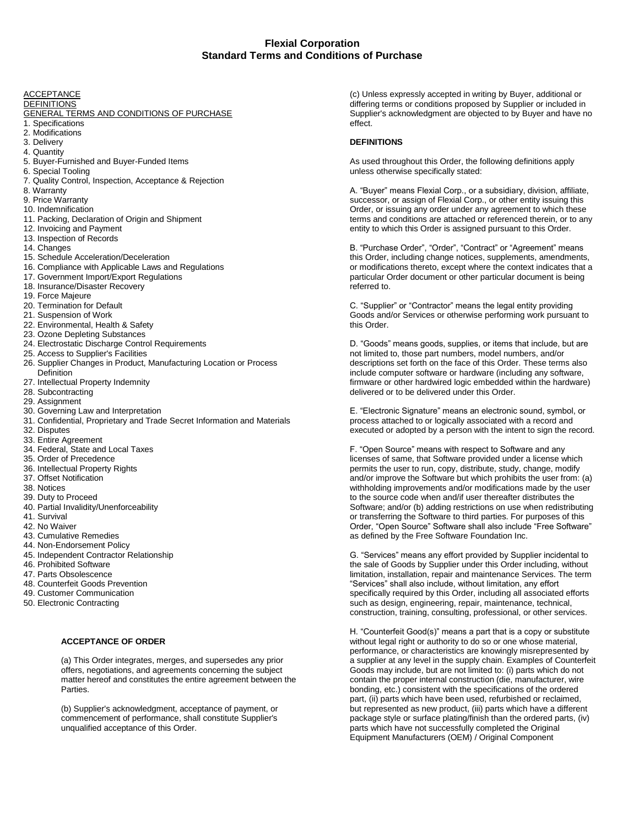**ACCEPTANCE** 

#### **DEFINITIONS**

#### GENERAL TERMS AND CONDITIONS OF PURCHASE

- 1. Specifications
- 2. Modifications
- 3. Delivery
- 4. Quantity
- 5. Buyer-Furnished and Buyer-Funded Items
- 6. Special Tooling
- 7. Quality Control, Inspection, Acceptance & Rejection
- 8. Warranty
- 9. Price Warranty
- 10. Indemnification
- 11. Packing, Declaration of Origin and Shipment
- 12. Invoicing and Payment
- 13. Inspection of Records
- 14. Changes
- 15. Schedule Acceleration/Deceleration
- 16. Compliance with Applicable Laws and Regulations
- 17. Government Import/Export Regulations
- 18. Insurance/Disaster Recovery
- 19. Force Majeure
- 20. Termination for Default
- 21. Suspension of Work
- 22. Environmental, Health & Safety
- 23. Ozone Depleting Substances
- 24. Electrostatic Discharge Control Requirements
- 25. Access to Supplier's Facilities
- 26. Supplier Changes in Product, Manufacturing Location or Process Definition
- 27. Intellectual Property Indemnity
- 28. Subcontracting
- 29. Assignment
- 30. Governing Law and Interpretation
- 31. Confidential, Proprietary and Trade Secret Information and Materials
- 32. Disputes
- 33. Entire Agreement
- 34. Federal, State and Local Taxes
- 35. Order of Precedence
- 36. Intellectual Property Rights
- 37. Offset Notification
- 38. Notices
- 39. Duty to Proceed
- 40. Partial Invalidity/Unenforceability
- 41. Survival
- 42. No Waiver
- 43. Cumulative Remedies
- 44. Non-Endorsement Policy
- 45. Independent Contractor Relationship
- 46. Prohibited Software
- 47. Parts Obsolescence
- 48. Counterfeit Goods Prevention
- 49. Customer Communication
- 50. Electronic Contracting

#### **ACCEPTANCE OF ORDER**

(a) This Order integrates, merges, and supersedes any prior offers, negotiations, and agreements concerning the subject matter hereof and constitutes the entire agreement between the Parties.

(b) Supplier's acknowledgment, acceptance of payment, or commencement of performance, shall constitute Supplier's unqualified acceptance of this Order.

(c) Unless expressly accepted in writing by Buyer, additional or differing terms or conditions proposed by Supplier or included in Supplier's acknowledgment are objected to by Buyer and have no effect.

### **DEFINITIONS**

As used throughout this Order, the following definitions apply unless otherwise specifically stated:

A. "Buyer" means Flexial Corp., or a subsidiary, division, affiliate, successor, or assign of Flexial Corp., or other entity issuing this Order, or issuing any order under any agreement to which these terms and conditions are attached or referenced therein, or to any entity to which this Order is assigned pursuant to this Order.

B. "Purchase Order", "Order", "Contract" or "Agreement" means this Order, including change notices, supplements, amendments, or modifications thereto, except where the context indicates that a particular Order document or other particular document is being referred to.

C. "Supplier" or "Contractor" means the legal entity providing Goods and/or Services or otherwise performing work pursuant to this Order.

D. "Goods" means goods, supplies, or items that include, but are not limited to, those part numbers, model numbers, and/or descriptions set forth on the face of this Order. These terms also include computer software or hardware (including any software, firmware or other hardwired logic embedded within the hardware) delivered or to be delivered under this Order.

E. "Electronic Signature" means an electronic sound, symbol, or process attached to or logically associated with a record and executed or adopted by a person with the intent to sign the record.

F. "Open Source" means with respect to Software and any licenses of same, that Software provided under a license which permits the user to run, copy, distribute, study, change, modify and/or improve the Software but which prohibits the user from: (a) withholding improvements and/or modifications made by the user to the source code when and/if user thereafter distributes the Software; and/or (b) adding restrictions on use when redistributing or transferring the Software to third parties. For purposes of this Order, "Open Source" Software shall also include "Free Software" as defined by the Free Software Foundation Inc.

G. "Services" means any effort provided by Supplier incidental to the sale of Goods by Supplier under this Order including, without limitation, installation, repair and maintenance Services. The term "Services" shall also include, without limitation, any effort specifically required by this Order, including all associated efforts such as design, engineering, repair, maintenance, technical, construction, training, consulting, professional, or other services.

H. "Counterfeit Good(s)" means a part that is a copy or substitute without legal right or authority to do so or one whose material, performance, or characteristics are knowingly misrepresented by a supplier at any level in the supply chain. Examples of Counterfeit Goods may include, but are not limited to: (i) parts which do not contain the proper internal construction (die, manufacturer, wire bonding, etc.) consistent with the specifications of the ordered part, (ii) parts which have been used, refurbished or reclaimed, but represented as new product, (iii) parts which have a different package style or surface plating/finish than the ordered parts, (iv) parts which have not successfully completed the Original Equipment Manufacturers (OEM) / Original Component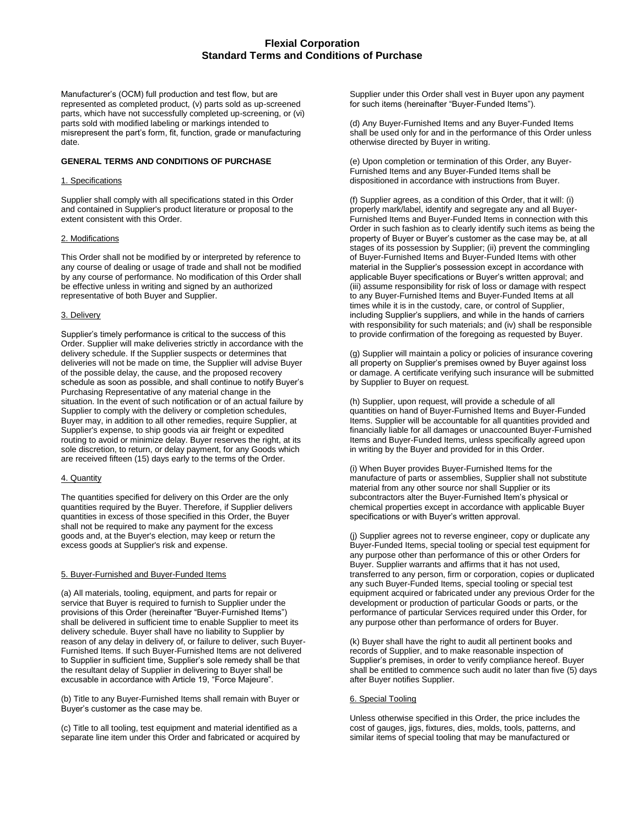Manufacturer's (OCM) full production and test flow, but are represented as completed product, (v) parts sold as up-screened parts, which have not successfully completed up-screening, or (vi) parts sold with modified labeling or markings intended to misrepresent the part's form, fit, function, grade or manufacturing date.

## **GENERAL TERMS AND CONDITIONS OF PURCHASE**

## 1. Specifications

Supplier shall comply with all specifications stated in this Order and contained in Supplier's product literature or proposal to the extent consistent with this Order.

# 2. Modifications

This Order shall not be modified by or interpreted by reference to any course of dealing or usage of trade and shall not be modified by any course of performance. No modification of this Order shall be effective unless in writing and signed by an authorized representative of both Buyer and Supplier.

## 3. Delivery

Supplier's timely performance is critical to the success of this Order. Supplier will make deliveries strictly in accordance with the delivery schedule. If the Supplier suspects or determines that deliveries will not be made on time, the Supplier will advise Buyer of the possible delay, the cause, and the proposed recovery schedule as soon as possible, and shall continue to notify Buyer's Purchasing Representative of any material change in the situation. In the event of such notification or of an actual failure by Supplier to comply with the delivery or completion schedules, Buyer may, in addition to all other remedies, require Supplier, at Supplier's expense, to ship goods via air freight or expedited routing to avoid or minimize delay. Buyer reserves the right, at its sole discretion, to return, or delay payment, for any Goods which are received fifteen (15) days early to the terms of the Order.

# 4. Quantity

The quantities specified for delivery on this Order are the only quantities required by the Buyer. Therefore, if Supplier delivers quantities in excess of those specified in this Order, the Buyer shall not be required to make any payment for the excess goods and, at the Buyer's election, may keep or return the excess goods at Supplier's risk and expense.

# 5. Buyer-Furnished and Buyer-Funded Items

(a) All materials, tooling, equipment, and parts for repair or service that Buyer is required to furnish to Supplier under the provisions of this Order (hereinafter "Buyer-Furnished Items") shall be delivered in sufficient time to enable Supplier to meet its delivery schedule. Buyer shall have no liability to Supplier by reason of any delay in delivery of, or failure to deliver, such Buyer-Furnished Items. If such Buyer-Furnished Items are not delivered to Supplier in sufficient time, Supplier's sole remedy shall be that the resultant delay of Supplier in delivering to Buyer shall be excusable in accordance with Article 19, "Force Majeure".

(b) Title to any Buyer-Furnished Items shall remain with Buyer or Buyer's customer as the case may be.

(c) Title to all tooling, test equipment and material identified as a separate line item under this Order and fabricated or acquired by Supplier under this Order shall vest in Buyer upon any payment for such items (hereinafter "Buyer-Funded Items").

(d) Any Buyer-Furnished Items and any Buyer-Funded Items shall be used only for and in the performance of this Order unless otherwise directed by Buyer in writing.

(e) Upon completion or termination of this Order, any Buyer-Furnished Items and any Buyer-Funded Items shall be dispositioned in accordance with instructions from Buyer.

(f) Supplier agrees, as a condition of this Order, that it will: (i) properly mark/label, identify and segregate any and all Buyer-Furnished Items and Buyer-Funded Items in connection with this Order in such fashion as to clearly identify such items as being the property of Buyer or Buyer's customer as the case may be, at all stages of its possession by Supplier; (ii) prevent the commingling of Buyer-Furnished Items and Buyer-Funded Items with other material in the Supplier's possession except in accordance with applicable Buyer specifications or Buyer's written approval; and (iii) assume responsibility for risk of loss or damage with respect to any Buyer-Furnished Items and Buyer-Funded Items at all times while it is in the custody, care, or control of Supplier, including Supplier's suppliers, and while in the hands of carriers with responsibility for such materials; and (iv) shall be responsible to provide confirmation of the foregoing as requested by Buyer.

(g) Supplier will maintain a policy or policies of insurance covering all property on Supplier's premises owned by Buyer against loss or damage. A certificate verifying such insurance will be submitted by Supplier to Buyer on request.

(h) Supplier, upon request, will provide a schedule of all quantities on hand of Buyer-Furnished Items and Buyer-Funded Items. Supplier will be accountable for all quantities provided and financially liable for all damages or unaccounted Buyer-Furnished Items and Buyer-Funded Items, unless specifically agreed upon in writing by the Buyer and provided for in this Order.

(i) When Buyer provides Buyer-Furnished Items for the manufacture of parts or assemblies, Supplier shall not substitute material from any other source nor shall Supplier or its subcontractors alter the Buyer-Furnished Item's physical or chemical properties except in accordance with applicable Buyer specifications or with Buyer's written approval.

(j) Supplier agrees not to reverse engineer, copy or duplicate any Buyer-Funded Items, special tooling or special test equipment for any purpose other than performance of this or other Orders for Buyer. Supplier warrants and affirms that it has not used, transferred to any person, firm or corporation, copies or duplicated any such Buyer-Funded Items, special tooling or special test equipment acquired or fabricated under any previous Order for the development or production of particular Goods or parts, or the performance of particular Services required under this Order, for any purpose other than performance of orders for Buyer.

(k) Buyer shall have the right to audit all pertinent books and records of Supplier, and to make reasonable inspection of Supplier's premises, in order to verify compliance hereof. Buyer shall be entitled to commence such audit no later than five (5) days after Buyer notifies Supplier.

#### 6. Special Tooling

Unless otherwise specified in this Order, the price includes the cost of gauges, jigs, fixtures, dies, molds, tools, patterns, and similar items of special tooling that may be manufactured or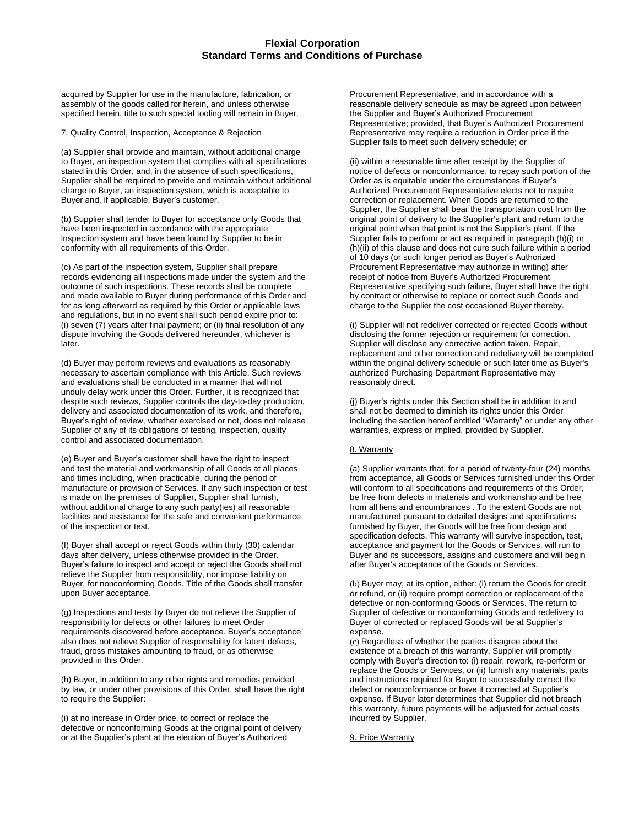acquired by Supplier for use in the manufacture, fabrication, or assembly of the goods called for herein, and unless otherwise specified herein, title to such special tooling will remain in Buyer.

## 7. Quality Control, Inspection, Acceptance & Rejection

(a) Supplier shall provide and maintain, without additional charge to Buyer, an inspection system that complies with all specifications stated in this Order, and, in the absence of such specifications, Supplier shall be required to provide and maintain without additional charge to Buyer, an inspection system, which is acceptable to Buyer and, if applicable, Buyer's customer.

(b) Supplier shall tender to Buyer for acceptance only Goods that have been inspected in accordance with the appropriate inspection system and have been found by Supplier to be in conformity with all requirements of this Order.

(c) As part of the inspection system, Supplier shall prepare records evidencing all inspections made under the system and the outcome of such inspections. These records shall be complete and made available to Buyer during performance of this Order and for as long afterward as required by this Order or applicable laws and regulations, but in no event shall such period expire prior to: (i) seven (7) years after final payment; or (ii) final resolution of any dispute involving the Goods delivered hereunder, whichever is later.

(d) Buyer may perform reviews and evaluations as reasonably necessary to ascertain compliance with this Article. Such reviews and evaluations shall be conducted in a manner that will not unduly delay work under this Order. Further, it is recognized that despite such reviews, Supplier controls the day-to-day production, delivery and associated documentation of its work, and therefore, Buyer's right of review, whether exercised or not, does not release Supplier of any of its obligations of testing, inspection, quality control and associated documentation.

(e) Buyer and Buyer's customer shall have the right to inspect and test the material and workmanship of all Goods at all places and times including, when practicable, during the period of manufacture or provision of Services. If any such inspection or test is made on the premises of Supplier, Supplier shall furnish, without additional charge to any such party(ies) all reasonable facilities and assistance for the safe and convenient performance of the inspection or test.

(f) Buyer shall accept or reject Goods within thirty (30) calendar days after delivery, unless otherwise provided in the Order. Buyer's failure to inspect and accept or reject the Goods shall not relieve the Supplier from responsibility, nor impose liability on Buyer, for nonconforming Goods. Title of the Goods shall transfer upon Buyer acceptance.

(g) Inspections and tests by Buyer do not relieve the Supplier of responsibility for defects or other failures to meet Order requirements discovered before acceptance. Buyer's acceptance also does not relieve Supplier of responsibility for latent defects, fraud, gross mistakes amounting to fraud, or as otherwise provided in this Order.

(h) Buyer, in addition to any other rights and remedies provided by law, or under other provisions of this Order, shall have the right to require the Supplier:

(i) at no increase in Order price, to correct or replace the defective or nonconforming Goods at the original point of delivery or at the Supplier's plant at the election of Buyer's Authorized

Procurement Representative, and in accordance with a reasonable delivery schedule as may be agreed upon between the Supplier and Buyer's Authorized Procurement Representative; provided, that Buyer's Authorized Procurement Representative may require a reduction in Order price if the Supplier fails to meet such delivery schedule; or

(ii) within a reasonable time after receipt by the Supplier of notice of defects or nonconformance, to repay such portion of the Order as is equitable under the circumstances if Buyer's Authorized Procurement Representative elects not to require correction or replacement. When Goods are returned to the Supplier, the Supplier shall bear the transportation cost from the original point of delivery to the Supplier's plant and return to the original point when that point is not the Supplier's plant. If the Supplier fails to perform or act as required in paragraph (h)(i) or (h)(ii) of this clause and does not cure such failure within a period of 10 days (or such longer period as Buyer's Authorized Procurement Representative may authorize in writing) after receipt of notice from Buyer's Authorized Procurement Representative specifying such failure, Buyer shall have the right by contract or otherwise to replace or correct such Goods and charge to the Supplier the cost occasioned Buyer thereby.

(i) Supplier will not redeliver corrected or rejected Goods without disclosing the former rejection or requirement for correction. Supplier will disclose any corrective action taken. Repair, replacement and other correction and redelivery will be completed within the original delivery schedule or such later time as Buyer's authorized Purchasing Department Representative may reasonably direct.

(j) Buyer's rights under this Section shall be in addition to and shall not be deemed to diminish its rights under this Order including the section hereof entitled "Warranty" or under any other warranties, express or implied, provided by Supplier.

# 8. Warranty

(a) Supplier warrants that, for a period of twenty-four (24) months from acceptance, all Goods or Services furnished under this Order will conform to all specifications and requirements of this Order, be free from defects in materials and workmanship and be free from all liens and encumbrances . To the extent Goods are not manufactured pursuant to detailed designs and specifications furnished by Buyer, the Goods will be free from design and specification defects. This warranty will survive inspection, test, acceptance and payment for the Goods or Services, will run to Buyer and its successors, assigns and customers and will begin after Buyer's acceptance of the Goods or Services.

(b) Buyer may, at its option, either: (i) return the Goods for credit or refund, or (ii) require prompt correction or replacement of the defective or non-conforming Goods or Services. The return to Supplier of defective or nonconforming Goods and redelivery to Buyer of corrected or replaced Goods will be at Supplier's expense.

(c) Regardless of whether the parties disagree about the existence of a breach of this warranty, Supplier will promptly comply with Buyer's direction to: (i) repair, rework, re-perform or replace the Goods or Services, or (ii) furnish any materials, parts and instructions required for Buyer to successfully correct the defect or nonconformance or have it corrected at Supplier's expense. If Buyer later determines that Supplier did not breach this warranty, future payments will be adjusted for actual costs incurred by Supplier.

### 9. Price Warranty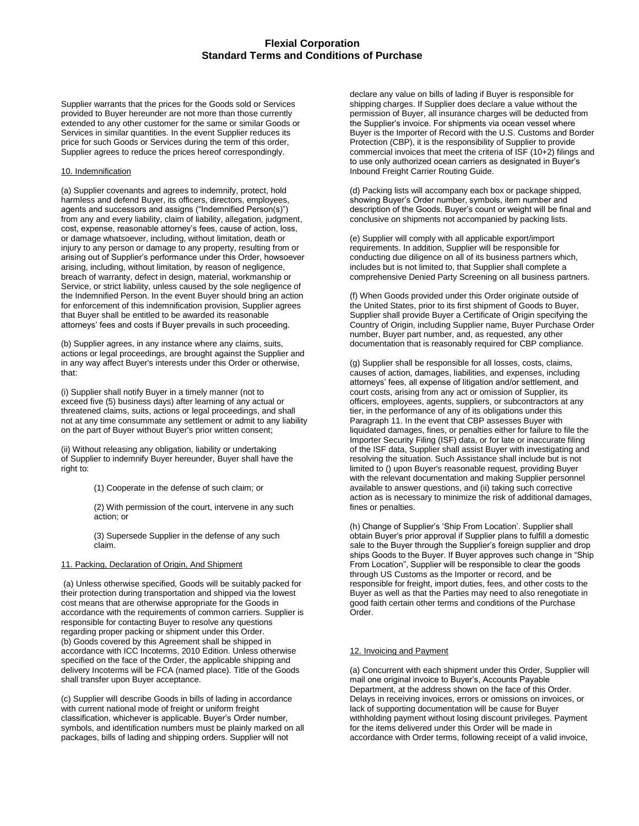Supplier warrants that the prices for the Goods sold or Services provided to Buyer hereunder are not more than those currently extended to any other customer for the same or similar Goods or Services in similar quantities. In the event Supplier reduces its price for such Goods or Services during the term of this order, Supplier agrees to reduce the prices hereof correspondingly.

## 10. Indemnification

(a) Supplier covenants and agrees to indemnify, protect, hold harmless and defend Buyer, its officers, directors, employees, agents and successors and assigns ("Indemnified Person(s)") from any and every liability, claim of liability, allegation, judgment, cost, expense, reasonable attorney's fees, cause of action, loss, or damage whatsoever, including, without limitation, death or injury to any person or damage to any property, resulting from or arising out of Supplier's performance under this Order, howsoever arising, including, without limitation, by reason of negligence, breach of warranty, defect in design, material, workmanship or Service, or strict liability, unless caused by the sole negligence of the Indemnified Person. In the event Buyer should bring an action for enforcement of this indemnification provision, Supplier agrees that Buyer shall be entitled to be awarded its reasonable attorneys' fees and costs if Buyer prevails in such proceeding.

(b) Supplier agrees, in any instance where any claims, suits, actions or legal proceedings, are brought against the Supplier and in any way affect Buyer's interests under this Order or otherwise, that:

(i) Supplier shall notify Buyer in a timely manner (not to exceed five (5) business days) after learning of any actual or threatened claims, suits, actions or legal proceedings, and shall not at any time consummate any settlement or admit to any liability on the part of Buyer without Buyer's prior written consent;

(ii) Without releasing any obligation, liability or undertaking of Supplier to indemnify Buyer hereunder, Buyer shall have the right to:

(1) Cooperate in the defense of such claim; or

(2) With permission of the court, intervene in any such action; or

(3) Supersede Supplier in the defense of any such claim.

### 11. Packing, Declaration of Origin, And Shipment

(a) Unless otherwise specified, Goods will be suitably packed for their protection during transportation and shipped via the lowest cost means that are otherwise appropriate for the Goods in accordance with the requirements of common carriers. Supplier is responsible for contacting Buyer to resolve any questions regarding proper packing or shipment under this Order. (b) Goods covered by this Agreement shall be shipped in accordance with ICC Incoterms, 2010 Edition. Unless otherwise specified on the face of the Order, the applicable shipping and delivery Incoterms will be FCA (named place). Title of the Goods shall transfer upon Buyer acceptance.

(c) Supplier will describe Goods in bills of lading in accordance with current national mode of freight or uniform freight classification, whichever is applicable. Buyer's Order number, symbols, and identification numbers must be plainly marked on all packages, bills of lading and shipping orders. Supplier will not

declare any value on bills of lading if Buyer is responsible for shipping charges. If Supplier does declare a value without the permission of Buyer, all insurance charges will be deducted from the Supplier's invoice. For shipments via ocean vessel where Buyer is the Importer of Record with the U.S. Customs and Border Protection (CBP), it is the responsibility of Supplier to provide commercial invoices that meet the criteria of ISF (10+2) filings and to use only authorized ocean carriers as designated in Buyer's Inbound Freight Carrier Routing Guide.

(d) Packing lists will accompany each box or package shipped, showing Buyer's Order number, symbols, item number and description of the Goods. Buyer's count or weight will be final and conclusive on shipments not accompanied by packing lists.

(e) Supplier will comply with all applicable export/import requirements. In addition, Supplier will be responsible for conducting due diligence on all of its business partners which, includes but is not limited to, that Supplier shall complete a comprehensive Denied Party Screening on all business partners.

(f) When Goods provided under this Order originate outside of the United States, prior to its first shipment of Goods to Buyer, Supplier shall provide Buyer a Certificate of Origin specifying the Country of Origin, including Supplier name, Buyer Purchase Order number, Buyer part number, and, as requested, any other documentation that is reasonably required for CBP compliance.

(g) Supplier shall be responsible for all losses, costs, claims, causes of action, damages, liabilities, and expenses, including attorneys' fees, all expense of litigation and/or settlement, and court costs, arising from any act or omission of Supplier, its officers, employees, agents, suppliers, or subcontractors at any tier, in the performance of any of its obligations under this Paragraph 11. In the event that CBP assesses Buyer with liquidated damages, fines, or penalties either for failure to file the Importer Security Filing (ISF) data, or for late or inaccurate filing of the ISF data, Supplier shall assist Buyer with investigating and resolving the situation. Such Assistance shall include but is not limited to () upon Buyer's reasonable request, providing Buyer with the relevant documentation and making Supplier personnel available to answer questions, and (ii) taking such corrective action as is necessary to minimize the risk of additional damages, fines or penalties.

(h) Change of Supplier's 'Ship From Location'. Supplier shall obtain Buyer's prior approval if Supplier plans to fulfill a domestic sale to the Buyer through the Supplier's foreign supplier and drop ships Goods to the Buyer. If Buyer approves such change in "Ship From Location", Supplier will be responsible to clear the goods through US Customs as the Importer or record, and be responsible for freight, import duties, fees, and other costs to the Buyer as well as that the Parties may need to also renegotiate in good faith certain other terms and conditions of the Purchase Order.

## 12. Invoicing and Payment

(a) Concurrent with each shipment under this Order, Supplier will mail one original invoice to Buyer's, Accounts Payable Department, at the address shown on the face of this Order. Delays in receiving invoices, errors or omissions on invoices, or lack of supporting documentation will be cause for Buyer withholding payment without losing discount privileges. Payment for the items delivered under this Order will be made in accordance with Order terms, following receipt of a valid invoice,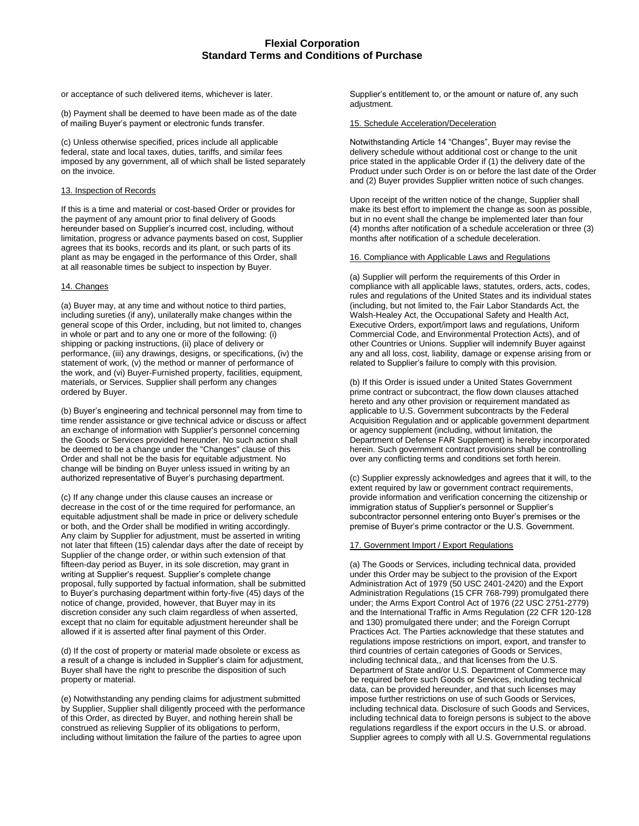or acceptance of such delivered items, whichever is later.

(b) Payment shall be deemed to have been made as of the date of mailing Buyer's payment or electronic funds transfer.

(c) Unless otherwise specified, prices include all applicable federal, state and local taxes, duties, tariffs, and similar fees imposed by any government, all of which shall be listed separately on the invoice.

## 13. Inspection of Records

If this is a time and material or cost-based Order or provides for the payment of any amount prior to final delivery of Goods hereunder based on Supplier's incurred cost, including, without limitation, progress or advance payments based on cost, Supplier agrees that its books, records and its plant, or such parts of its plant as may be engaged in the performance of this Order, shall at all reasonable times be subject to inspection by Buyer.

# 14. Changes

(a) Buyer may, at any time and without notice to third parties, including sureties (if any), unilaterally make changes within the general scope of this Order, including, but not limited to, changes in whole or part and to any one or more of the following: (i) shipping or packing instructions, (ii) place of delivery or performance, (iii) any drawings, designs, or specifications, (iv) the statement of work, (v) the method or manner of performance of the work, and (vi) Buyer-Furnished property, facilities, equipment, materials, or Services. Supplier shall perform any changes ordered by Buyer.

(b) Buyer's engineering and technical personnel may from time to time render assistance or give technical advice or discuss or affect an exchange of information with Supplier's personnel concerning the Goods or Services provided hereunder. No such action shall be deemed to be a change under the "Changes" clause of this Order and shall not be the basis for equitable adjustment. No change will be binding on Buyer unless issued in writing by an authorized representative of Buyer's purchasing department.

(c) If any change under this clause causes an increase or decrease in the cost of or the time required for performance, an equitable adjustment shall be made in price or delivery schedule or both, and the Order shall be modified in writing accordingly. Any claim by Supplier for adjustment, must be asserted in writing not later that fifteen (15) calendar days after the date of receipt by Supplier of the change order, or within such extension of that fifteen-day period as Buyer, in its sole discretion, may grant in writing at Supplier's request. Supplier's complete change proposal, fully supported by factual information, shall be submitted to Buyer's purchasing department within forty-five (45) days of the notice of change, provided, however, that Buyer may in its discretion consider any such claim regardless of when asserted, except that no claim for equitable adjustment hereunder shall be allowed if it is asserted after final payment of this Order.

(d) If the cost of property or material made obsolete or excess as a result of a change is included in Supplier's claim for adjustment, Buyer shall have the right to prescribe the disposition of such property or material.

(e) Notwithstanding any pending claims for adjustment submitted by Supplier, Supplier shall diligently proceed with the performance of this Order, as directed by Buyer, and nothing herein shall be construed as relieving Supplier of its obligations to perform, including without limitation the failure of the parties to agree upon

Supplier's entitlement to, or the amount or nature of, any such adjustment.

## 15. Schedule Acceleration/Deceleration

Notwithstanding Article 14 "Changes", Buyer may revise the delivery schedule without additional cost or change to the unit price stated in the applicable Order if (1) the delivery date of the Product under such Order is on or before the last date of the Order and (2) Buyer provides Supplier written notice of such changes.

Upon receipt of the written notice of the change, Supplier shall make its best effort to implement the change as soon as possible, but in no event shall the change be implemented later than four (4) months after notification of a schedule acceleration or three (3) months after notification of a schedule deceleration.

## 16. Compliance with Applicable Laws and Regulations

(a) Supplier will perform the requirements of this Order in compliance with all applicable laws, statutes, orders, acts, codes, rules and regulations of the United States and its individual states (including, but not limited to, the Fair Labor Standards Act, the Walsh-Healey Act, the Occupational Safety and Health Act, Executive Orders, export/import laws and regulations, Uniform Commercial Code, and Environmental Protection Acts), and of other Countries or Unions. Supplier will indemnify Buyer against any and all loss, cost, liability, damage or expense arising from or related to Supplier's failure to comply with this provision.

(b) If this Order is issued under a United States Government prime contract or subcontract, the flow down clauses attached hereto and any other provision or requirement mandated as applicable to U.S. Government subcontracts by the Federal Acquisition Regulation and or applicable government department or agency supplement (including, without limitation, the Department of Defense FAR Supplement) is hereby incorporated herein. Such government contract provisions shall be controlling over any conflicting terms and conditions set forth herein.

(c) Supplier expressly acknowledges and agrees that it will, to the extent required by law or government contract requirements, provide information and verification concerning the citizenship or immigration status of Supplier's personnel or Supplier's subcontractor personnel entering onto Buyer's premises or the premise of Buyer's prime contractor or the U.S. Government.

# 17. Government Import / Export Regulations

(a) The Goods or Services, including technical data, provided under this Order may be subject to the provision of the Export Administration Act of 1979 (50 USC 2401-2420) and the Export Administration Regulations (15 CFR 768-799) promulgated there under; the Arms Export Control Act of 1976 (22 USC 2751-2779) and the International Traffic in Arms Regulation (22 CFR 120-128 and 130) promulgated there under; and the Foreign Corrupt Practices Act. The Parties acknowledge that these statutes and regulations impose restrictions on import, export, and transfer to third countries of certain categories of Goods or Services, including technical data,, and that licenses from the U.S. Department of State and/or U.S. Department of Commerce may be required before such Goods or Services, including technical data, can be provided hereunder, and that such licenses may impose further restrictions on use of such Goods or Services, including technical data. Disclosure of such Goods and Services, including technical data to foreign persons is subject to the above regulations regardless if the export occurs in the U.S. or abroad. Supplier agrees to comply with all U.S. Governmental regulations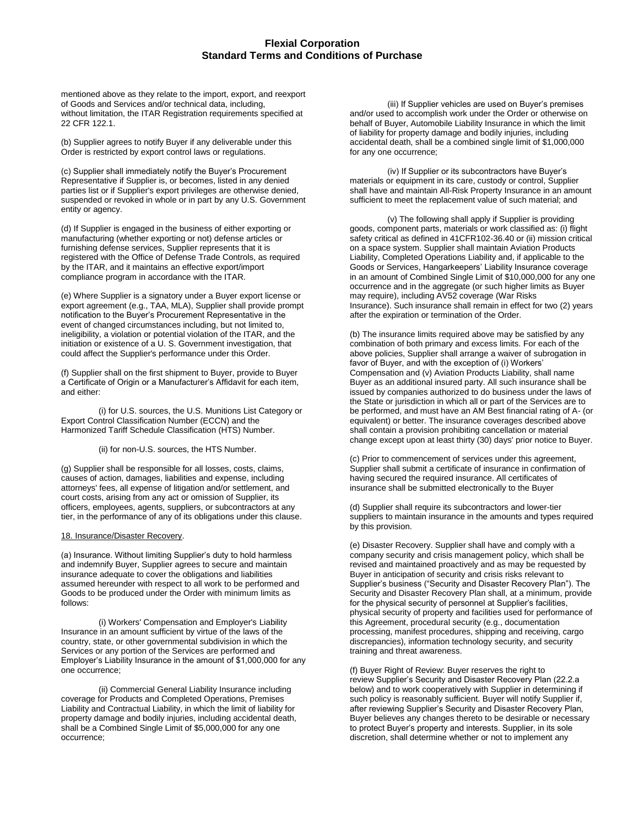mentioned above as they relate to the import, export, and reexport of Goods and Services and/or technical data, including, without limitation, the ITAR Registration requirements specified at 22 CFR 122.1.

(b) Supplier agrees to notify Buyer if any deliverable under this Order is restricted by export control laws or regulations.

(c) Supplier shall immediately notify the Buyer's Procurement Representative if Supplier is, or becomes, listed in any denied parties list or if Supplier's export privileges are otherwise denied, suspended or revoked in whole or in part by any U.S. Government entity or agency.

(d) If Supplier is engaged in the business of either exporting or manufacturing (whether exporting or not) defense articles or furnishing defense services, Supplier represents that it is registered with the Office of Defense Trade Controls, as required by the ITAR, and it maintains an effective export/import compliance program in accordance with the ITAR.

(e) Where Supplier is a signatory under a Buyer export license or export agreement (e.g., TAA, MLA), Supplier shall provide prompt notification to the Buyer's Procurement Representative in the event of changed circumstances including, but not limited to, ineligibility, a violation or potential violation of the ITAR, and the initiation or existence of a U. S. Government investigation, that could affect the Supplier's performance under this Order.

(f) Supplier shall on the first shipment to Buyer, provide to Buyer a Certificate of Origin or a Manufacturer's Affidavit for each item, and either:

(i) for U.S. sources, the U.S. Munitions List Category or Export Control Classification Number (ECCN) and the Harmonized Tariff Schedule Classification (HTS) Number.

(ii) for non-U.S. sources, the HTS Number.

(g) Supplier shall be responsible for all losses, costs, claims, causes of action, damages, liabilities and expense, including attorneys' fees, all expense of litigation and/or settlement, and court costs, arising from any act or omission of Supplier, its officers, employees, agents, suppliers, or subcontractors at any tier, in the performance of any of its obligations under this clause.

#### 18. Insurance/Disaster Recovery.

(a) Insurance. Without limiting Supplier's duty to hold harmless and indemnify Buyer, Supplier agrees to secure and maintain insurance adequate to cover the obligations and liabilities assumed hereunder with respect to all work to be performed and Goods to be produced under the Order with minimum limits as follows:

(i) Workers' Compensation and Employer's Liability Insurance in an amount sufficient by virtue of the laws of the country, state, or other governmental subdivision in which the Services or any portion of the Services are performed and Employer's Liability Insurance in the amount of \$1,000,000 for any one occurrence;

(ii) Commercial General Liability Insurance including coverage for Products and Completed Operations, Premises Liability and Contractual Liability, in which the limit of liability for property damage and bodily injuries, including accidental death, shall be a Combined Single Limit of \$5,000,000 for any one occurrence;

(iii) If Supplier vehicles are used on Buyer's premises and/or used to accomplish work under the Order or otherwise on behalf of Buyer, Automobile Liability Insurance in which the limit of liability for property damage and bodily injuries, including accidental death, shall be a combined single limit of \$1,000,000 for any one occurrence;

(iv) If Supplier or its subcontractors have Buyer's materials or equipment in its care, custody or control, Supplier shall have and maintain All-Risk Property Insurance in an amount sufficient to meet the replacement value of such material; and

(v) The following shall apply if Supplier is providing goods, component parts, materials or work classified as: (i) flight safety critical as defined in 41CFR102-36.40 or (ii) mission critical on a space system. Supplier shall maintain Aviation Products Liability, Completed Operations Liability and, if applicable to the Goods or Services, Hangarkeepers' Liability Insurance coverage in an amount of Combined Single Limit of \$10,000,000 for any one occurrence and in the aggregate (or such higher limits as Buyer may require), including AV52 coverage (War Risks Insurance). Such insurance shall remain in effect for two (2) years after the expiration or termination of the Order.

(b) The insurance limits required above may be satisfied by any combination of both primary and excess limits. For each of the above policies, Supplier shall arrange a waiver of subrogation in favor of Buyer, and with the exception of (i) Workers' Compensation and (v) Aviation Products Liability, shall name Buyer as an additional insured party. All such insurance shall be issued by companies authorized to do business under the laws of the State or jurisdiction in which all or part of the Services are to be performed, and must have an AM Best financial rating of A- (or equivalent) or better. The insurance coverages described above shall contain a provision prohibiting cancellation or material change except upon at least thirty (30) days' prior notice to Buyer.

(c) Prior to commencement of services under this agreement, Supplier shall submit a certificate of insurance in confirmation of having secured the required insurance. All certificates of insurance shall be submitted electronically to the Buyer

(d) Supplier shall require its subcontractors and lower-tier suppliers to maintain insurance in the amounts and types required by this provision.

(e) Disaster Recovery. Supplier shall have and comply with a company security and crisis management policy, which shall be revised and maintained proactively and as may be requested by Buyer in anticipation of security and crisis risks relevant to Supplier's business ("Security and Disaster Recovery Plan"). The Security and Disaster Recovery Plan shall, at a minimum, provide for the physical security of personnel at Supplier's facilities, physical security of property and facilities used for performance of this Agreement, procedural security (e.g., documentation processing, manifest procedures, shipping and receiving, cargo discrepancies), information technology security, and security training and threat awareness.

(f) Buyer Right of Review: Buyer reserves the right to review Supplier's Security and Disaster Recovery Plan (22.2.a below) and to work cooperatively with Supplier in determining if such policy is reasonably sufficient. Buyer will notify Supplier if, after reviewing Supplier's Security and Disaster Recovery Plan, Buyer believes any changes thereto to be desirable or necessary to protect Buyer's property and interests. Supplier, in its sole discretion, shall determine whether or not to implement any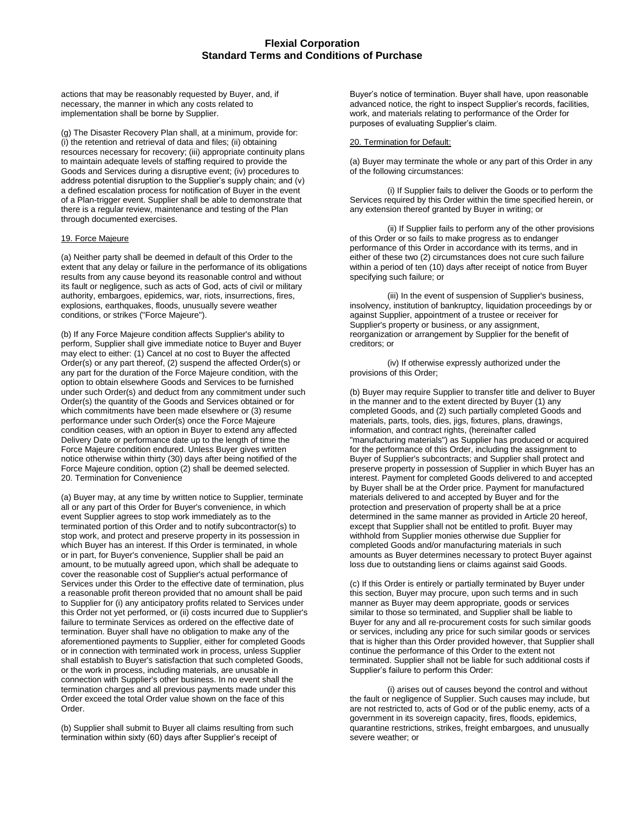actions that may be reasonably requested by Buyer, and, if necessary, the manner in which any costs related to implementation shall be borne by Supplier.

(g) The Disaster Recovery Plan shall, at a minimum, provide for: (i) the retention and retrieval of data and files; (ii) obtaining resources necessary for recovery; (iii) appropriate continuity plans to maintain adequate levels of staffing required to provide the Goods and Services during a disruptive event; (iv) procedures to address potential disruption to the Supplier's supply chain; and (v) a defined escalation process for notification of Buyer in the event of a Plan-trigger event. Supplier shall be able to demonstrate that there is a regular review, maintenance and testing of the Plan through documented exercises.

# 19. Force Majeure

(a) Neither party shall be deemed in default of this Order to the extent that any delay or failure in the performance of its obligations results from any cause beyond its reasonable control and without its fault or negligence, such as acts of God, acts of civil or military authority, embargoes, epidemics, war, riots, insurrections, fires, explosions, earthquakes, floods, unusually severe weather conditions, or strikes ("Force Majeure").

(b) If any Force Majeure condition affects Supplier's ability to perform, Supplier shall give immediate notice to Buyer and Buyer may elect to either: (1) Cancel at no cost to Buyer the affected Order(s) or any part thereof, (2) suspend the affected Order(s) or any part for the duration of the Force Majeure condition, with the option to obtain elsewhere Goods and Services to be furnished under such Order(s) and deduct from any commitment under such Order(s) the quantity of the Goods and Services obtained or for which commitments have been made elsewhere or (3) resume performance under such Order(s) once the Force Majeure condition ceases, with an option in Buyer to extend any affected Delivery Date or performance date up to the length of time the Force Majeure condition endured. Unless Buyer gives written notice otherwise within thirty (30) days after being notified of the Force Majeure condition, option (2) shall be deemed selected. 20. Termination for Convenience

(a) Buyer may, at any time by written notice to Supplier, terminate all or any part of this Order for Buyer's convenience, in which event Supplier agrees to stop work immediately as to the terminated portion of this Order and to notify subcontractor(s) to stop work, and protect and preserve property in its possession in which Buyer has an interest. If this Order is terminated, in whole or in part, for Buyer's convenience, Supplier shall be paid an amount, to be mutually agreed upon, which shall be adequate to cover the reasonable cost of Supplier's actual performance of Services under this Order to the effective date of termination, plus a reasonable profit thereon provided that no amount shall be paid to Supplier for (i) any anticipatory profits related to Services under this Order not yet performed, or (ii) costs incurred due to Supplier's failure to terminate Services as ordered on the effective date of termination. Buyer shall have no obligation to make any of the aforementioned payments to Supplier, either for completed Goods or in connection with terminated work in process, unless Supplier shall establish to Buyer's satisfaction that such completed Goods, or the work in process, including materials, are unusable in connection with Supplier's other business. In no event shall the termination charges and all previous payments made under this Order exceed the total Order value shown on the face of this Order.

(b) Supplier shall submit to Buyer all claims resulting from such termination within sixty (60) days after Supplier's receipt of

Buyer's notice of termination. Buyer shall have, upon reasonable advanced notice, the right to inspect Supplier's records, facilities, work, and materials relating to performance of the Order for purposes of evaluating Supplier's claim.

#### 20. Termination for Default:

(a) Buyer may terminate the whole or any part of this Order in any of the following circumstances:

(i) If Supplier fails to deliver the Goods or to perform the Services required by this Order within the time specified herein, or any extension thereof granted by Buyer in writing; or

(ii) If Supplier fails to perform any of the other provisions of this Order or so fails to make progress as to endanger performance of this Order in accordance with its terms, and in either of these two (2) circumstances does not cure such failure within a period of ten (10) days after receipt of notice from Buyer specifying such failure; or

(iii) In the event of suspension of Supplier's business, insolvency, institution of bankruptcy, liquidation proceedings by or against Supplier, appointment of a trustee or receiver for Supplier's property or business, or any assignment, reorganization or arrangement by Supplier for the benefit of creditors; or

(iv) If otherwise expressly authorized under the provisions of this Order;

(b) Buyer may require Supplier to transfer title and deliver to Buyer in the manner and to the extent directed by Buyer (1) any completed Goods, and (2) such partially completed Goods and materials, parts, tools, dies, jigs, fixtures, plans, drawings, information, and contract rights, (hereinafter called "manufacturing materials") as Supplier has produced or acquired for the performance of this Order, including the assignment to Buyer of Supplier's subcontracts; and Supplier shall protect and preserve property in possession of Supplier in which Buyer has an interest. Payment for completed Goods delivered to and accepted by Buyer shall be at the Order price. Payment for manufactured materials delivered to and accepted by Buyer and for the protection and preservation of property shall be at a price determined in the same manner as provided in Article 20 hereof, except that Supplier shall not be entitled to profit. Buyer may withhold from Supplier monies otherwise due Supplier for completed Goods and/or manufacturing materials in such amounts as Buyer determines necessary to protect Buyer against loss due to outstanding liens or claims against said Goods.

(c) If this Order is entirely or partially terminated by Buyer under this section, Buyer may procure, upon such terms and in such manner as Buyer may deem appropriate, goods or services similar to those so terminated, and Supplier shall be liable to Buyer for any and all re-procurement costs for such similar goods or services, including any price for such similar goods or services that is higher than this Order provided however, that Supplier shall continue the performance of this Order to the extent not terminated. Supplier shall not be liable for such additional costs if Supplier's failure to perform this Order:

(i) arises out of causes beyond the control and without the fault or negligence of Supplier. Such causes may include, but are not restricted to, acts of God or of the public enemy, acts of a government in its sovereign capacity, fires, floods, epidemics, quarantine restrictions, strikes, freight embargoes, and unusually severe weather; or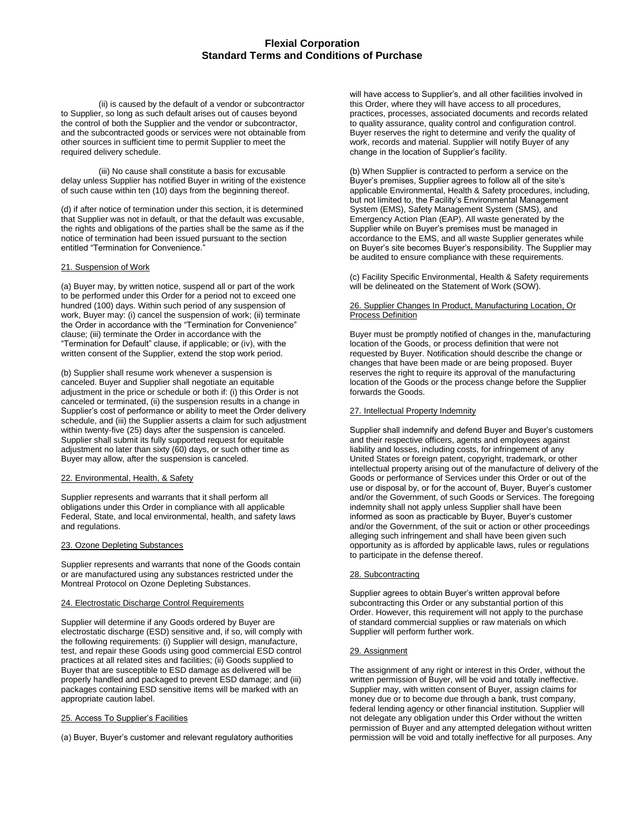(ii) is caused by the default of a vendor or subcontractor to Supplier, so long as such default arises out of causes beyond the control of both the Supplier and the vendor or subcontractor, and the subcontracted goods or services were not obtainable from other sources in sufficient time to permit Supplier to meet the required delivery schedule.

(iii) No cause shall constitute a basis for excusable delay unless Supplier has notified Buyer in writing of the existence of such cause within ten (10) days from the beginning thereof.

(d) if after notice of termination under this section, it is determined that Supplier was not in default, or that the default was excusable, the rights and obligations of the parties shall be the same as if the notice of termination had been issued pursuant to the section entitled "Termination for Convenience."

## 21. Suspension of Work

(a) Buyer may, by written notice, suspend all or part of the work to be performed under this Order for a period not to exceed one hundred (100) days. Within such period of any suspension of work, Buyer may: (i) cancel the suspension of work; (ii) terminate the Order in accordance with the "Termination for Convenience" clause; (iii) terminate the Order in accordance with the "Termination for Default" clause, if applicable; or (iv), with the written consent of the Supplier, extend the stop work period.

(b) Supplier shall resume work whenever a suspension is canceled. Buyer and Supplier shall negotiate an equitable adjustment in the price or schedule or both if: (i) this Order is not canceled or terminated, (ii) the suspension results in a change in Supplier's cost of performance or ability to meet the Order delivery schedule, and (iii) the Supplier asserts a claim for such adjustment within twenty-five (25) days after the suspension is canceled. Supplier shall submit its fully supported request for equitable adjustment no later than sixty (60) days, or such other time as Buyer may allow, after the suspension is canceled.

#### 22. Environmental, Health, & Safety

Supplier represents and warrants that it shall perform all obligations under this Order in compliance with all applicable Federal, State, and local environmental, health, and safety laws and regulations.

# 23. Ozone Depleting Substances

Supplier represents and warrants that none of the Goods contain or are manufactured using any substances restricted under the Montreal Protocol on Ozone Depleting Substances.

# 24. Electrostatic Discharge Control Requirements

Supplier will determine if any Goods ordered by Buyer are electrostatic discharge (ESD) sensitive and, if so, will comply with the following requirements: (i) Supplier will design, manufacture, test, and repair these Goods using good commercial ESD control practices at all related sites and facilities; (ii) Goods supplied to Buyer that are susceptible to ESD damage as delivered will be properly handled and packaged to prevent ESD damage; and (iii) packages containing ESD sensitive items will be marked with an appropriate caution label.

#### 25. Access To Supplier's Facilities

(a) Buyer, Buyer's customer and relevant regulatory authorities

will have access to Supplier's, and all other facilities involved in this Order, where they will have access to all procedures, practices, processes, associated documents and records related to quality assurance, quality control and configuration control. Buyer reserves the right to determine and verify the quality of work, records and material. Supplier will notify Buyer of any change in the location of Supplier's facility.

(b) When Supplier is contracted to perform a service on the Buyer's premises, Supplier agrees to follow all of the site's applicable Environmental, Health & Safety procedures, including, but not limited to, the Facility's Environmental Management System (EMS), Safety Management System (SMS), and Emergency Action Plan (EAP). All waste generated by the Supplier while on Buyer's premises must be managed in accordance to the EMS, and all waste Supplier generates while on Buyer's site becomes Buyer's responsibility. The Supplier may be audited to ensure compliance with these requirements.

(c) Facility Specific Environmental, Health & Safety requirements will be delineated on the Statement of Work (SOW).

## 26. Supplier Changes In Product, Manufacturing Location, Or Process Definition

Buyer must be promptly notified of changes in the, manufacturing location of the Goods, or process definition that were not requested by Buyer. Notification should describe the change or changes that have been made or are being proposed. Buyer reserves the right to require its approval of the manufacturing location of the Goods or the process change before the Supplier forwards the Goods.

## 27. Intellectual Property Indemnity

Supplier shall indemnify and defend Buyer and Buyer's customers and their respective officers, agents and employees against liability and losses, including costs, for infringement of any United States or foreign patent, copyright, trademark, or other intellectual property arising out of the manufacture of delivery of the Goods or performance of Services under this Order or out of the use or disposal by, or for the account of, Buyer, Buyer's customer and/or the Government, of such Goods or Services. The foregoing indemnity shall not apply unless Supplier shall have been informed as soon as practicable by Buyer, Buyer's customer and/or the Government, of the suit or action or other proceedings alleging such infringement and shall have been given such opportunity as is afforded by applicable laws, rules or regulations to participate in the defense thereof.

#### 28. Subcontracting

Supplier agrees to obtain Buyer's written approval before subcontracting this Order or any substantial portion of this Order. However, this requirement will not apply to the purchase of standard commercial supplies or raw materials on which Supplier will perform further work.

#### 29. Assignment

The assignment of any right or interest in this Order, without the written permission of Buyer, will be void and totally ineffective. Supplier may, with written consent of Buyer, assign claims for money due or to become due through a bank, trust company, federal lending agency or other financial institution. Supplier will not delegate any obligation under this Order without the written permission of Buyer and any attempted delegation without written permission will be void and totally ineffective for all purposes. Any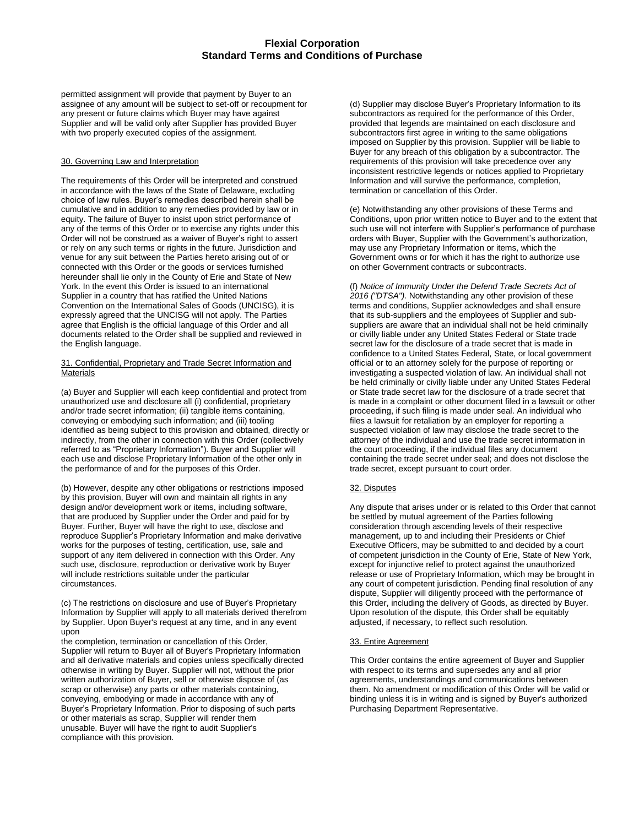permitted assignment will provide that payment by Buyer to an assignee of any amount will be subject to set-off or recoupment for any present or future claims which Buyer may have against Supplier and will be valid only after Supplier has provided Buyer with two properly executed copies of the assignment.

## 30. Governing Law and Interpretation

The requirements of this Order will be interpreted and construed in accordance with the laws of the State of Delaware, excluding choice of law rules. Buyer's remedies described herein shall be cumulative and in addition to any remedies provided by law or in equity. The failure of Buyer to insist upon strict performance of any of the terms of this Order or to exercise any rights under this Order will not be construed as a waiver of Buyer's right to assert or rely on any such terms or rights in the future. Jurisdiction and venue for any suit between the Parties hereto arising out of or connected with this Order or the goods or services furnished hereunder shall lie only in the County of Erie and State of New York. In the event this Order is issued to an international Supplier in a country that has ratified the United Nations Convention on the International Sales of Goods (UNCISG), it is expressly agreed that the UNCISG will not apply. The Parties agree that English is the official language of this Order and all documents related to the Order shall be supplied and reviewed in the English language.

## 31. Confidential, Proprietary and Trade Secret Information and Materials

(a) Buyer and Supplier will each keep confidential and protect from unauthorized use and disclosure all (i) confidential, proprietary and/or trade secret information; (ii) tangible items containing, conveying or embodying such information; and (iii) tooling identified as being subject to this provision and obtained, directly or indirectly, from the other in connection with this Order (collectively referred to as "Proprietary Information"). Buyer and Supplier will each use and disclose Proprietary Information of the other only in the performance of and for the purposes of this Order.

(b) However, despite any other obligations or restrictions imposed by this provision, Buyer will own and maintain all rights in any design and/or development work or items, including software, that are produced by Supplier under the Order and paid for by Buyer. Further, Buyer will have the right to use, disclose and reproduce Supplier's Proprietary Information and make derivative works for the purposes of testing, certification, use, sale and support of any item delivered in connection with this Order. Any such use, disclosure, reproduction or derivative work by Buyer will include restrictions suitable under the particular circumstances.

(c) The restrictions on disclosure and use of Buyer's Proprietary Information by Supplier will apply to all materials derived therefrom by Supplier. Upon Buyer's request at any time, and in any event upon

the completion, termination or cancellation of this Order, Supplier will return to Buyer all of Buyer's Proprietary Information and all derivative materials and copies unless specifically directed otherwise in writing by Buyer. Supplier will not, without the prior written authorization of Buyer, sell or otherwise dispose of (as scrap or otherwise) any parts or other materials containing, conveying, embodying or made in accordance with any of Buyer's Proprietary Information. Prior to disposing of such parts or other materials as scrap, Supplier will render them unusable. Buyer will have the right to audit Supplier's compliance with this provision.

(d) Supplier may disclose Buyer's Proprietary Information to its subcontractors as required for the performance of this Order, provided that legends are maintained on each disclosure and subcontractors first agree in writing to the same obligations imposed on Supplier by this provision. Supplier will be liable to Buyer for any breach of this obligation by a subcontractor. The requirements of this provision will take precedence over any inconsistent restrictive legends or notices applied to Proprietary Information and will survive the performance, completion, termination or cancellation of this Order.

(e) Notwithstanding any other provisions of these Terms and Conditions, upon prior written notice to Buyer and to the extent that such use will not interfere with Supplier's performance of purchase orders with Buyer, Supplier with the Government's authorization, may use any Proprietary Information or items, which the Government owns or for which it has the right to authorize use on other Government contracts or subcontracts.

(f) *Notice of Immunity Under the Defend Trade Secrets Act of 2016 ("DTSA").* Notwithstanding any other provision of these terms and conditions, Supplier acknowledges and shall ensure that its sub-suppliers and the employees of Supplier and subsuppliers are aware that an individual shall not be held criminally or civilly liable under any United States Federal or State trade secret law for the disclosure of a trade secret that is made in confidence to a United States Federal, State, or local government official or to an attorney solely for the purpose of reporting or investigating a suspected violation of law. An individual shall not be held criminally or civilly liable under any United States Federal or State trade secret law for the disclosure of a trade secret that is made in a complaint or other document filed in a lawsuit or other proceeding, if such filing is made under seal. An individual who files a lawsuit for retaliation by an employer for reporting a suspected violation of law may disclose the trade secret to the attorney of the individual and use the trade secret information in the court proceeding, if the individual files any document containing the trade secret under seal; and does not disclose the trade secret, except pursuant to court order.

# 32. Disputes

Any dispute that arises under or is related to this Order that cannot be settled by mutual agreement of the Parties following consideration through ascending levels of their respective management, up to and including their Presidents or Chief Executive Officers, may be submitted to and decided by a court of competent jurisdiction in the County of Erie, State of New York, except for injunctive relief to protect against the unauthorized release or use of Proprietary Information, which may be brought in any court of competent jurisdiction. Pending final resolution of any dispute, Supplier will diligently proceed with the performance of this Order, including the delivery of Goods, as directed by Buyer. Upon resolution of the dispute, this Order shall be equitably adjusted, if necessary, to reflect such resolution.

#### 33. Entire Agreement

This Order contains the entire agreement of Buyer and Supplier with respect to its terms and supersedes any and all prior agreements, understandings and communications between them. No amendment or modification of this Order will be valid or binding unless it is in writing and is signed by Buyer's authorized Purchasing Department Representative.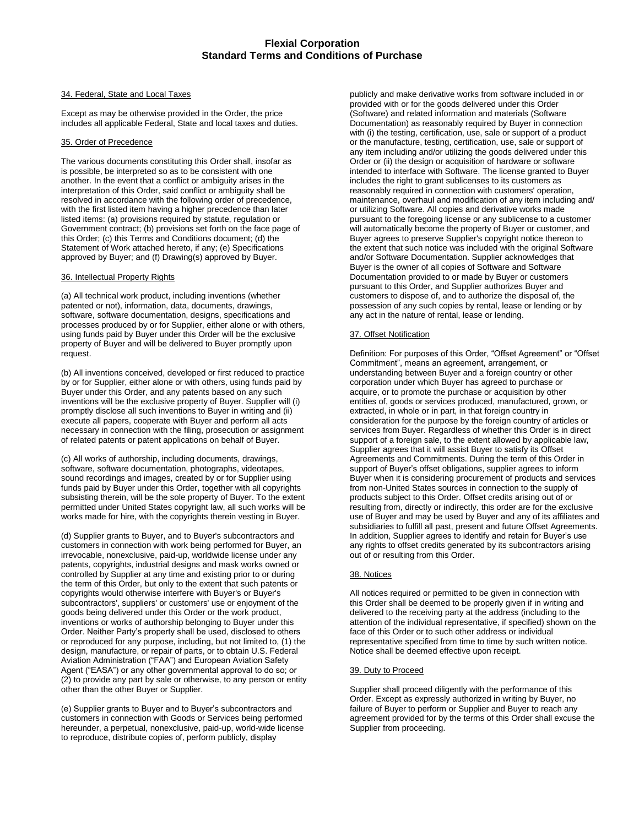## 34. Federal, State and Local Taxes

Except as may be otherwise provided in the Order, the price includes all applicable Federal, State and local taxes and duties.

# 35. Order of Precedence

The various documents constituting this Order shall, insofar as is possible, be interpreted so as to be consistent with one another. In the event that a conflict or ambiguity arises in the interpretation of this Order, said conflict or ambiguity shall be resolved in accordance with the following order of precedence, with the first listed item having a higher precedence than later listed items: (a) provisions required by statute, regulation or Government contract; (b) provisions set forth on the face page of this Order; (c) this Terms and Conditions document; (d) the Statement of Work attached hereto, if any; (e) Specifications approved by Buyer; and (f) Drawing(s) approved by Buyer.

# 36. Intellectual Property Rights

(a) All technical work product, including inventions (whether patented or not), information, data, documents, drawings, software, software documentation, designs, specifications and processes produced by or for Supplier, either alone or with others, using funds paid by Buyer under this Order will be the exclusive property of Buyer and will be delivered to Buyer promptly upon request.

(b) All inventions conceived, developed or first reduced to practice by or for Supplier, either alone or with others, using funds paid by Buyer under this Order, and any patents based on any such inventions will be the exclusive property of Buyer. Supplier will (i) promptly disclose all such inventions to Buyer in writing and (ii) execute all papers, cooperate with Buyer and perform all acts necessary in connection with the filing, prosecution or assignment of related patents or patent applications on behalf of Buyer.

(c) All works of authorship, including documents, drawings, software, software documentation, photographs, videotapes, sound recordings and images, created by or for Supplier using funds paid by Buyer under this Order, together with all copyrights subsisting therein, will be the sole property of Buyer. To the extent permitted under United States copyright law, all such works will be works made for hire, with the copyrights therein vesting in Buyer.

(d) Supplier grants to Buyer, and to Buyer's subcontractors and customers in connection with work being performed for Buyer, an irrevocable, nonexclusive, paid-up, worldwide license under any patents, copyrights, industrial designs and mask works owned or controlled by Supplier at any time and existing prior to or during the term of this Order, but only to the extent that such patents or copyrights would otherwise interfere with Buyer's or Buyer's subcontractors', suppliers' or customers' use or enjoyment of the goods being delivered under this Order or the work product, inventions or works of authorship belonging to Buyer under this Order. Neither Party's property shall be used, disclosed to others or reproduced for any purpose, including, but not limited to, (1) the design, manufacture, or repair of parts, or to obtain U.S. Federal Aviation Administration ("FAA") and European Aviation Safety Agent ("EASA") or any other governmental approval to do so; or (2) to provide any part by sale or otherwise, to any person or entity other than the other Buyer or Supplier.

(e) Supplier grants to Buyer and to Buyer's subcontractors and customers in connection with Goods or Services being performed hereunder, a perpetual, nonexclusive, paid-up, world-wide license to reproduce, distribute copies of, perform publicly, display

publicly and make derivative works from software included in or provided with or for the goods delivered under this Order (Software) and related information and materials (Software Documentation) as reasonably required by Buyer in connection with (i) the testing, certification, use, sale or support of a product or the manufacture, testing, certification, use, sale or support of any item including and/or utilizing the goods delivered under this Order or (ii) the design or acquisition of hardware or software intended to interface with Software. The license granted to Buyer includes the right to grant sublicenses to its customers as reasonably required in connection with customers' operation, maintenance, overhaul and modification of any item including and/ or utilizing Software. All copies and derivative works made pursuant to the foregoing license or any sublicense to a customer will automatically become the property of Buyer or customer, and Buyer agrees to preserve Supplier's copyright notice thereon to the extent that such notice was included with the original Software and/or Software Documentation. Supplier acknowledges that Buyer is the owner of all copies of Software and Software Documentation provided to or made by Buyer or customers pursuant to this Order, and Supplier authorizes Buyer and customers to dispose of, and to authorize the disposal of, the possession of any such copies by rental, lease or lending or by any act in the nature of rental, lease or lending.

# 37. Offset Notification

Definition: For purposes of this Order, "Offset Agreement" or "Offset Commitment", means an agreement, arrangement, or understanding between Buyer and a foreign country or other corporation under which Buyer has agreed to purchase or acquire, or to promote the purchase or acquisition by other entities of, goods or services produced, manufactured, grown, or extracted, in whole or in part, in that foreign country in consideration for the purpose by the foreign country of articles or services from Buyer. Regardless of whether this Order is in direct support of a foreign sale, to the extent allowed by applicable law, Supplier agrees that it will assist Buyer to satisfy its Offset Agreements and Commitments. During the term of this Order in support of Buyer's offset obligations, supplier agrees to inform Buyer when it is considering procurement of products and services from non-United States sources in connection to the supply of products subject to this Order. Offset credits arising out of or resulting from, directly or indirectly, this order are for the exclusive use of Buyer and may be used by Buyer and any of its affiliates and subsidiaries to fulfill all past, present and future Offset Agreements. In addition, Supplier agrees to identify and retain for Buyer's use any rights to offset credits generated by its subcontractors arising out of or resulting from this Order.

# 38. Notices

All notices required or permitted to be given in connection with this Order shall be deemed to be properly given if in writing and delivered to the receiving party at the address (including to the attention of the individual representative, if specified) shown on the face of this Order or to such other address or individual representative specified from time to time by such written notice. Notice shall be deemed effective upon receipt.

# 39. Duty to Proceed

Supplier shall proceed diligently with the performance of this Order. Except as expressly authorized in writing by Buyer, no failure of Buyer to perform or Supplier and Buyer to reach any agreement provided for by the terms of this Order shall excuse the Supplier from proceeding.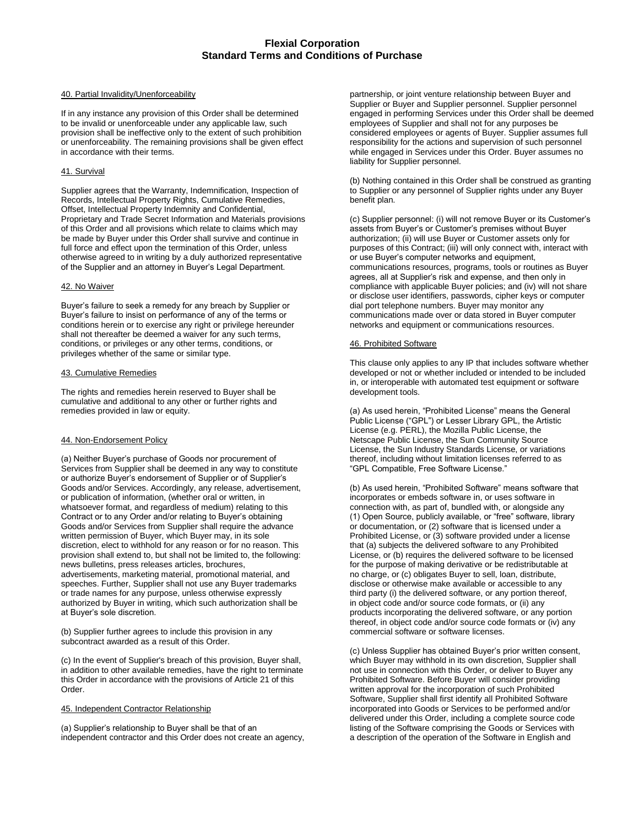#### 40. Partial Invalidity/Unenforceability

If in any instance any provision of this Order shall be determined to be invalid or unenforceable under any applicable law, such provision shall be ineffective only to the extent of such prohibition or unenforceability. The remaining provisions shall be given effect in accordance with their terms.

# 41. Survival

Supplier agrees that the Warranty, Indemnification, Inspection of Records, Intellectual Property Rights, Cumulative Remedies, Offset, Intellectual Property Indemnity and Confidential, Proprietary and Trade Secret Information and Materials provisions of this Order and all provisions which relate to claims which may be made by Buyer under this Order shall survive and continue in full force and effect upon the termination of this Order, unless otherwise agreed to in writing by a duly authorized representative of the Supplier and an attorney in Buyer's Legal Department.

#### 42. No Waiver

Buyer's failure to seek a remedy for any breach by Supplier or Buyer's failure to insist on performance of any of the terms or conditions herein or to exercise any right or privilege hereunder shall not thereafter be deemed a waiver for any such terms, conditions, or privileges or any other terms, conditions, or privileges whether of the same or similar type.

#### 43. Cumulative Remedies

The rights and remedies herein reserved to Buyer shall be cumulative and additional to any other or further rights and remedies provided in law or equity.

#### 44. Non-Endorsement Policy

(a) Neither Buyer's purchase of Goods nor procurement of Services from Supplier shall be deemed in any way to constitute or authorize Buyer's endorsement of Supplier or of Supplier's Goods and/or Services. Accordingly, any release, advertisement, or publication of information, (whether oral or written, in whatsoever format, and regardless of medium) relating to this Contract or to any Order and/or relating to Buyer's obtaining Goods and/or Services from Supplier shall require the advance written permission of Buyer, which Buyer may, in its sole discretion, elect to withhold for any reason or for no reason. This provision shall extend to, but shall not be limited to, the following: news bulletins, press releases articles, brochures, advertisements, marketing material, promotional material, and speeches. Further, Supplier shall not use any Buyer trademarks or trade names for any purpose, unless otherwise expressly authorized by Buyer in writing, which such authorization shall be at Buyer's sole discretion.

(b) Supplier further agrees to include this provision in any subcontract awarded as a result of this Order.

(c) In the event of Supplier's breach of this provision, Buyer shall, in addition to other available remedies, have the right to terminate this Order in accordance with the provisions of Article 21 of this Order.

## 45. Independent Contractor Relationship

(a) Supplier's relationship to Buyer shall be that of an independent contractor and this Order does not create an agency, partnership, or joint venture relationship between Buyer and Supplier or Buyer and Supplier personnel. Supplier personnel engaged in performing Services under this Order shall be deemed employees of Supplier and shall not for any purposes be considered employees or agents of Buyer. Supplier assumes full responsibility for the actions and supervision of such personnel while engaged in Services under this Order. Buyer assumes no liability for Supplier personnel.

(b) Nothing contained in this Order shall be construed as granting to Supplier or any personnel of Supplier rights under any Buyer benefit plan.

(c) Supplier personnel: (i) will not remove Buyer or its Customer's assets from Buyer's or Customer's premises without Buyer authorization; (ii) will use Buyer or Customer assets only for purposes of this Contract; (iii) will only connect with, interact with or use Buyer's computer networks and equipment, communications resources, programs, tools or routines as Buyer agrees, all at Supplier's risk and expense, and then only in compliance with applicable Buyer policies; and (iv) will not share or disclose user identifiers, passwords, cipher keys or computer dial port telephone numbers. Buyer may monitor any communications made over or data stored in Buyer computer networks and equipment or communications resources.

#### 46. Prohibited Software

This clause only applies to any IP that includes software whether developed or not or whether included or intended to be included in, or interoperable with automated test equipment or software development tools.

(a) As used herein, "Prohibited License" means the General Public License ("GPL") or Lesser Library GPL, the Artistic License (e.g. PERL), the Mozilla Public License, the Netscape Public License, the Sun Community Source License, the Sun Industry Standards License, or variations thereof, including without limitation licenses referred to as "GPL Compatible, Free Software License."

(b) As used herein, "Prohibited Software" means software that incorporates or embeds software in, or uses software in connection with, as part of, bundled with, or alongside any (1) Open Source, publicly available, or "free" software, library or documentation, or (2) software that is licensed under a Prohibited License, or (3) software provided under a license that (a) subjects the delivered software to any Prohibited License, or (b) requires the delivered software to be licensed for the purpose of making derivative or be redistributable at no charge, or (c) obligates Buyer to sell, loan, distribute, disclose or otherwise make available or accessible to any third party (i) the delivered software, or any portion thereof, in object code and/or source code formats, or (ii) any products incorporating the delivered software, or any portion thereof, in object code and/or source code formats or (iv) any commercial software or software licenses.

(c) Unless Supplier has obtained Buyer's prior written consent, which Buyer may withhold in its own discretion, Supplier shall not use in connection with this Order, or deliver to Buyer any Prohibited Software. Before Buyer will consider providing written approval for the incorporation of such Prohibited Software, Supplier shall first identify all Prohibited Software incorporated into Goods or Services to be performed and/or delivered under this Order, including a complete source code listing of the Software comprising the Goods or Services with a description of the operation of the Software in English and